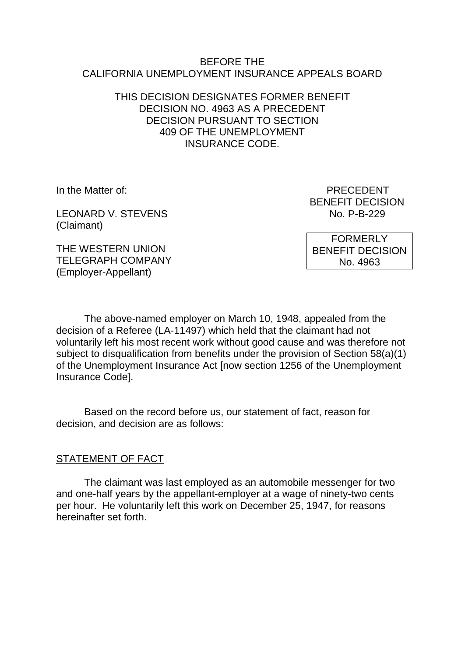#### BEFORE THE CALIFORNIA UNEMPLOYMENT INSURANCE APPEALS BOARD

#### THIS DECISION DESIGNATES FORMER BENEFIT DECISION NO. 4963 AS A PRECEDENT DECISION PURSUANT TO SECTION 409 OF THE UNEMPLOYMENT INSURANCE CODE.

LEONARD V. STEVENS (Claimant)

In the Matter of: PRECEDENT BENEFIT DECISION<br>No. P-B-229

> FORMERLY BENEFIT DECISION No. 4963

THE WESTERN UNION TELEGRAPH COMPANY (Employer-Appellant)

The above-named employer on March 10, 1948, appealed from the decision of a Referee (LA-11497) which held that the claimant had not voluntarily left his most recent work without good cause and was therefore not subject to disqualification from benefits under the provision of Section 58(a)(1) of the Unemployment Insurance Act [now section 1256 of the Unemployment Insurance Code].

Based on the record before us, our statement of fact, reason for decision, and decision are as follows:

## STATEMENT OF FACT

The claimant was last employed as an automobile messenger for two and one-half years by the appellant-employer at a wage of ninety-two cents per hour. He voluntarily left this work on December 25, 1947, for reasons hereinafter set forth.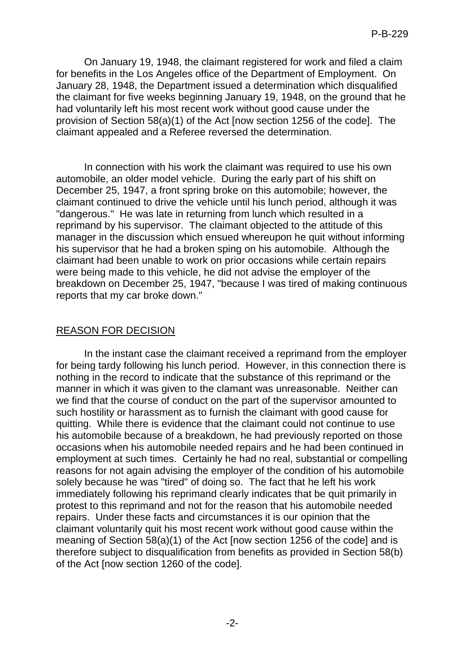On January 19, 1948, the claimant registered for work and filed a claim for benefits in the Los Angeles office of the Department of Employment. On January 28, 1948, the Department issued a determination which disqualified the claimant for five weeks beginning January 19, 1948, on the ground that he had voluntarily left his most recent work without good cause under the provision of Section 58(a)(1) of the Act [now section 1256 of the code]. The claimant appealed and a Referee reversed the determination.

In connection with his work the claimant was required to use his own automobile, an older model vehicle. During the early part of his shift on December 25, 1947, a front spring broke on this automobile; however, the claimant continued to drive the vehicle until his lunch period, although it was "dangerous." He was late in returning from lunch which resulted in a reprimand by his supervisor. The claimant objected to the attitude of this manager in the discussion which ensued whereupon he quit without informing his supervisor that he had a broken sping on his automobile. Although the claimant had been unable to work on prior occasions while certain repairs were being made to this vehicle, he did not advise the employer of the breakdown on December 25, 1947, "because I was tired of making continuous reports that my car broke down."

### REASON FOR DECISION

In the instant case the claimant received a reprimand from the employer for being tardy following his lunch period. However, in this connection there is nothing in the record to indicate that the substance of this reprimand or the manner in which it was given to the clamant was unreasonable. Neither can we find that the course of conduct on the part of the supervisor amounted to such hostility or harassment as to furnish the claimant with good cause for quitting. While there is evidence that the claimant could not continue to use his automobile because of a breakdown, he had previously reported on those occasions when his automobile needed repairs and he had been continued in employment at such times. Certainly he had no real, substantial or compelling reasons for not again advising the employer of the condition of his automobile solely because he was "tired" of doing so. The fact that he left his work immediately following his reprimand clearly indicates that be quit primarily in protest to this reprimand and not for the reason that his automobile needed repairs. Under these facts and circumstances it is our opinion that the claimant voluntarily quit his most recent work without good cause within the meaning of Section 58(a)(1) of the Act [now section 1256 of the code] and is therefore subject to disqualification from benefits as provided in Section 58(b) of the Act [now section 1260 of the code].